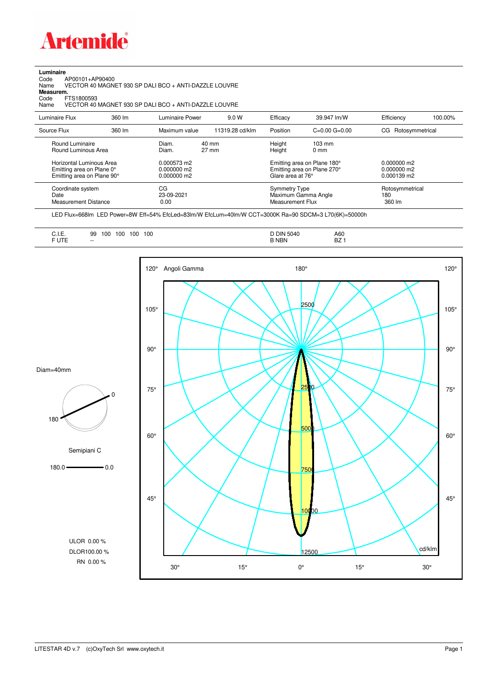

**Luminaire**<br>Code<br>Name Code AP00101+AP90400 Name VECTOR 40 MAGNET 930 SP DALI BCO + ANTI-DAZZLE LOUVRE

**Measurem.**

Code FTS1800593<br>Name VECTOR 40 Name VECTOR 40 MAGNET 930 SP DALI BCO + ANTI-DAZZLE LOUVRE

| Luminaire Flux                                                                                                                | 360 lm | Luminaire Power                                                 | 9.0 W                              | Efficacy                                 | 39.947 lm/W                                                                                      | Efficiency                                      | 100.00% |
|-------------------------------------------------------------------------------------------------------------------------------|--------|-----------------------------------------------------------------|------------------------------------|------------------------------------------|--------------------------------------------------------------------------------------------------|-------------------------------------------------|---------|
| Source Flux                                                                                                                   | 360 lm | Maximum value                                                   | 11319.28 cd/klm                    | Position                                 | $C=0.00$ $G=0.00$                                                                                | CG Rotosymmetrical                              |         |
| Round Luminaire<br>Round Luminous Area<br>Horizontal Luminous Area<br>Emitting area on Plane 0°<br>Emitting area on Plane 90° |        | Diam.<br>Diam.<br>0.000573 m2<br>$0.000000$ m2<br>$0.000000$ m2 | $40 \text{ mm}$<br>$27 \text{ mm}$ | Height<br>Height<br>Glare area at 76°    | $103 \text{ mm}$<br>$0 \text{ mm}$<br>Emitting area on Plane 180°<br>Emitting area on Plane 270° | $0.000000$ m2<br>$0.000000$ m2<br>$0.000139$ m2 |         |
| Coordinate system<br>Date<br>Measurement Distance                                                                             |        | CG<br>23-09-2021<br>0.00                                        |                                    | <b>Symmetry Type</b><br>Measurement Flux | Maximum Gamma Angle                                                                              | Rotosymmetrical<br>180<br>360 lm                |         |

LED Flux=668lm LED Power=8W Eff=54% EfcLed=83lm/W EfcLum=40lm/W CCT=3000K Ra=90 SDCM=3 L70(6K)=50000h